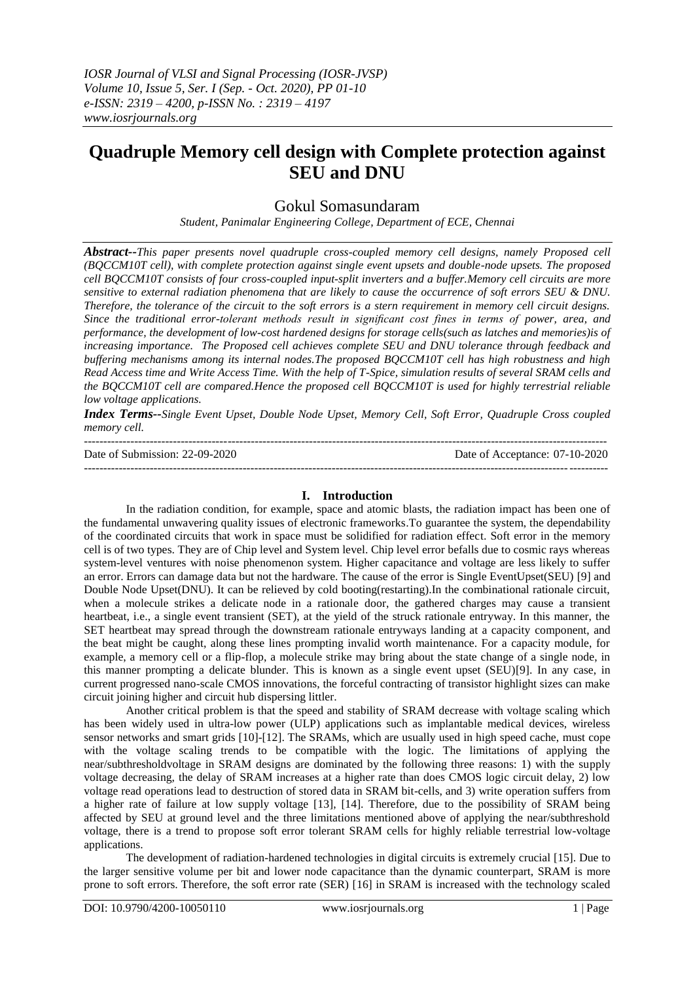# **Quadruple Memory cell design with Complete protection against SEU and DNU**

## Gokul Somasundaram

*Student, Panimalar Engineering College, Department of ECE, Chennai*

*Abstract--This paper presents novel quadruple cross-coupled memory cell designs, namely Proposed cell (BQCCM10T cell), with complete protection against single event upsets and double-node upsets. The proposed cell BQCCM10T consists of four cross-coupled input-split inverters and a buffer.Memory cell circuits are more sensitive to external radiation phenomena that are likely to cause the occurrence of soft errors SEU & DNU. Therefore, the tolerance of the circuit to the soft errors is a stern requirement in memory cell circuit designs. Since the traditional error-tolerant methods result in significant cost fines in terms of power, area, and performance, the development of low-cost hardened designs for storage cells(such as latches and memories)is of increasing importance. The Proposed cell achieves complete SEU and DNU tolerance through feedback and buffering mechanisms among its internal nodes.The proposed BQCCM10T cell has high robustness and high Read Access time and Write Access Time. With the help of T-Spice, simulation results of several SRAM cells and the BQCCM10T cell are compared.Hence the proposed cell BQCCM10T is used for highly terrestrial reliable low voltage applications.*

*Index Terms--Single Event Upset, Double Node Upset, Memory Cell, Soft Error, Quadruple Cross coupled memory cell.* 

--------------------------------------------------------------------------------------------------------------------------------------- Date of Submission: 22-09-2020 Date of Acceptance: 07-10-2020 ---------------------------------------------------------------------------------------------------------------------------------------

#### **I. Introduction**

In the radiation condition, for example, space and atomic blasts, the radiation impact has been one of the fundamental unwavering quality issues of electronic frameworks.To guarantee the system, the dependability of the coordinated circuits that work in space must be solidified for radiation effect. Soft error in the memory cell is of two types. They are of Chip level and System level. Chip level error befalls due to cosmic rays whereas system-level ventures with noise phenomenon system. Higher capacitance and voltage are less likely to suffer an error. Errors can damage data but not the hardware. The cause of the error is Single EventUpset(SEU) [9] and Double Node Upset(DNU). It can be relieved by cold booting(restarting).In the combinational rationale circuit, when a molecule strikes a delicate node in a rationale door, the gathered charges may cause a transient heartbeat, i.e., a single event transient (SET), at the yield of the struck rationale entryway. In this manner, the SET heartbeat may spread through the downstream rationale entryways landing at a capacity component, and the beat might be caught, along these lines prompting invalid worth maintenance. For a capacity module, for example, a memory cell or a flip-flop, a molecule strike may bring about the state change of a single node, in this manner prompting a delicate blunder. This is known as a single event upset (SEU)[9]. In any case, in current progressed nano-scale CMOS innovations, the forceful contracting of transistor highlight sizes can make circuit joining higher and circuit hub dispersing littler.

Another critical problem is that the speed and stability of SRAM decrease with voltage scaling which has been widely used in ultra-low power (ULP) applications such as implantable medical devices, wireless sensor networks and smart grids [10]-[12]. The SRAMs, which are usually used in high speed cache, must cope with the voltage scaling trends to be compatible with the logic. The limitations of applying the near/subthresholdvoltage in SRAM designs are dominated by the following three reasons: 1) with the supply voltage decreasing, the delay of SRAM increases at a higher rate than does CMOS logic circuit delay, 2) low voltage read operations lead to destruction of stored data in SRAM bit-cells, and 3) write operation suffers from a higher rate of failure at low supply voltage [13], [14]. Therefore, due to the possibility of SRAM being affected by SEU at ground level and the three limitations mentioned above of applying the near/subthreshold voltage, there is a trend to propose soft error tolerant SRAM cells for highly reliable terrestrial low-voltage applications.

The development of radiation-hardened technologies in digital circuits is extremely crucial [15]. Due to the larger sensitive volume per bit and lower node capacitance than the dynamic counterpart, SRAM is more prone to soft errors. Therefore, the soft error rate (SER) [16] in SRAM is increased with the technology scaled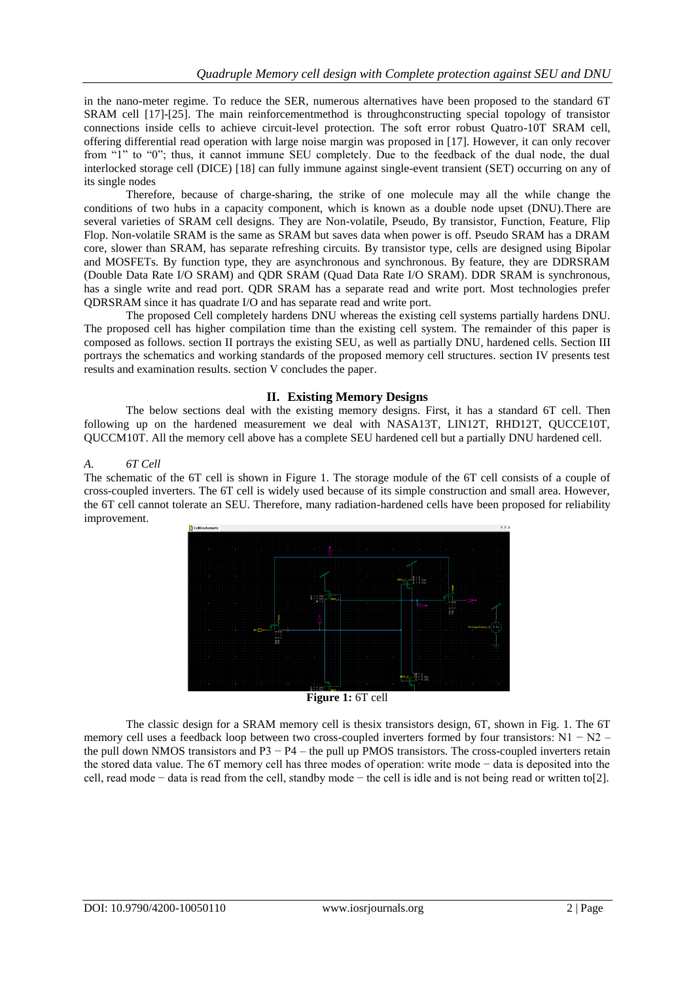in the nano-meter regime. To reduce the SER, numerous alternatives have been proposed to the standard 6T SRAM cell [17]-[25]. The main reinforcementmethod is throughconstructing special topology of transistor connections inside cells to achieve circuit-level protection. The soft error robust Quatro-10T SRAM cell, offering differential read operation with large noise margin was proposed in [17]. However, it can only recover from "1" to "0"; thus, it cannot immune SEU completely. Due to the feedback of the dual node, the dual interlocked storage cell (DICE) [18] can fully immune against single-event transient (SET) occurring on any of its single nodes

Therefore, because of charge-sharing, the strike of one molecule may all the while change the conditions of two hubs in a capacity component, which is known as a double node upset (DNU).There are several varieties of SRAM cell designs. They are Non-volatile, Pseudo, By transistor, Function, Feature, Flip Flop. Non-volatile SRAM is the same as SRAM but saves data when power is off. Pseudo SRAM has a DRAM core, slower than SRAM, has separate refreshing circuits. By transistor type, cells are designed using Bipolar and MOSFETs. By function type, they are asynchronous and synchronous. By feature, they are DDRSRAM (Double Data Rate I/O SRAM) and QDR SRAM (Quad Data Rate I/O SRAM). DDR SRAM is synchronous, has a single write and read port. ODR SRAM has a separate read and write port. Most technologies prefer QDRSRAM since it has quadrate I/O and has separate read and write port.

The proposed Cell completely hardens DNU whereas the existing cell systems partially hardens DNU. The proposed cell has higher compilation time than the existing cell system. The remainder of this paper is composed as follows. section II portrays the existing SEU, as well as partially DNU, hardened cells. Section III portrays the schematics and working standards of the proposed memory cell structures. section IV presents test results and examination results. section V concludes the paper.

#### **II. Existing Memory Designs**

The below sections deal with the existing memory designs. First, it has a standard 6T cell. Then following up on the hardened measurement we deal with NASA13T, LIN12T, RHD12T, QUCCE10T, QUCCM10T. All the memory cell above has a complete SEU hardened cell but a partially DNU hardened cell.

#### *A. 6T Cell*

The schematic of the 6T cell is shown in Figure 1. The storage module of the 6T cell consists of a couple of cross-coupled inverters. The 6T cell is widely used because of its simple construction and small area. However, the 6T cell cannot tolerate an SEU. Therefore, many radiation-hardened cells have been proposed for reliability improvement.



**Figure 1:** 6T cell

The classic design for a SRAM memory cell is thesix transistors design, 6T, shown in Fig. 1. The 6T memory cell uses a feedback loop between two cross-coupled inverters formed by four transistors: N1 − N2 – the pull down NMOS transistors and P3 − P4 – the pull up PMOS transistors. The cross-coupled inverters retain the stored data value. The 6T memory cell has three modes of operation: write mode − data is deposited into the cell, read mode − data is read from the cell, standby mode − the cell is idle and is not being read or written to[2].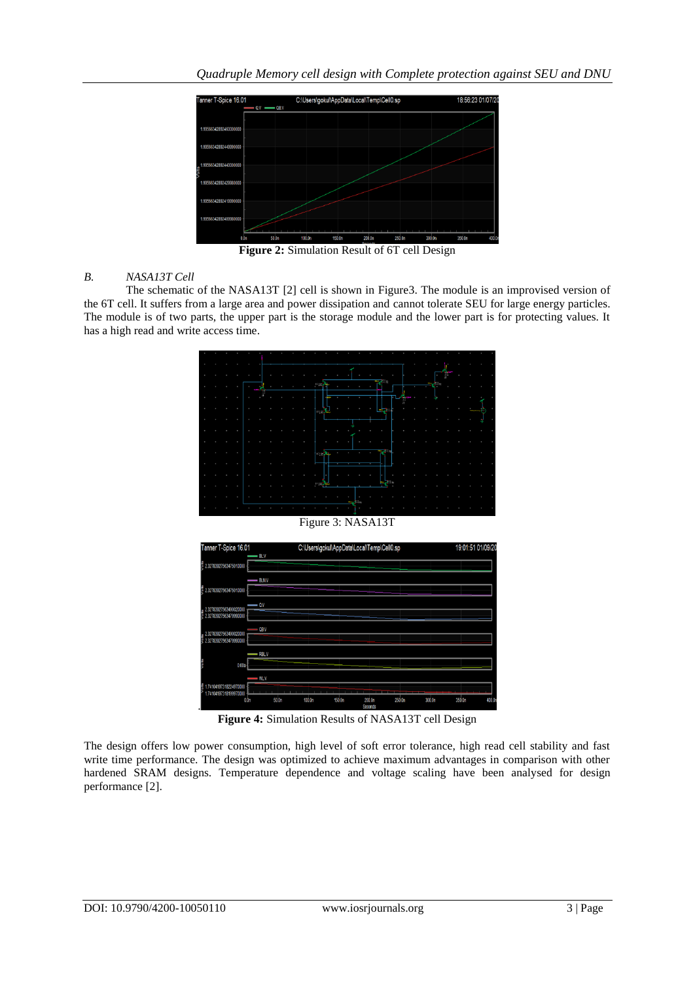

**Figure 2:** Simulation Result of 6T cell Design

## *B. NASA13T Cell*

The schematic of the NASA13T [2] cell is shown in Figure3. The module is an improvised version of the 6T cell. It suffers from a large area and power dissipation and cannot tolerate SEU for large energy particles. The module is of two parts, the upper part is the storage module and the lower part is for protecting values. It has a high read and write access time.





**Figure 4:** Simulation Results of NASA13T cell Design

The design offers low power consumption, high level of soft error tolerance, high read cell stability and fast write time performance. The design was optimized to achieve maximum advantages in comparison with other hardened SRAM designs. Temperature dependence and voltage scaling have been analysed for design performance [2].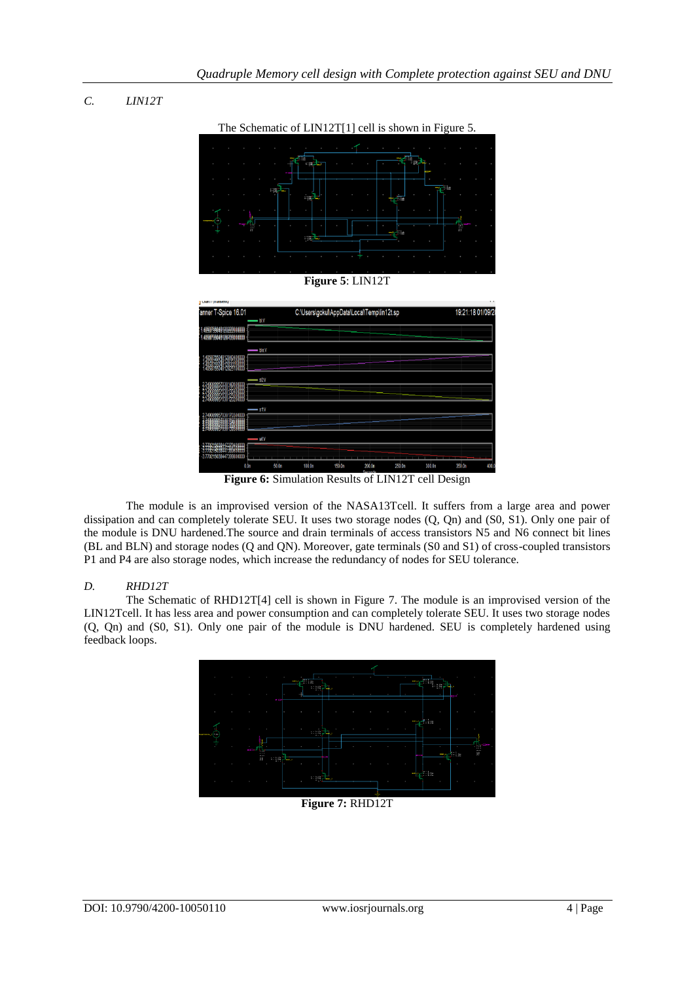# *C. LIN12T*



The Schematic of LIN12T[1] cell is shown in Figure 5.

#### **Figure 5**: LIN12T



**Figure 6:** Simulation Results of LIN12T cell Design

The module is an improvised version of the NASA13Tcell. It suffers from a large area and power dissipation and can completely tolerate SEU. It uses two storage nodes (Q, Qn) and (S0, S1). Only one pair of the module is DNU hardened.The source and drain terminals of access transistors N5 and N6 connect bit lines (BL and BLN) and storage nodes (Q and QN). Moreover, gate terminals (S0 and S1) of cross-coupled transistors P1 and P4 are also storage nodes, which increase the redundancy of nodes for SEU tolerance.

#### *D. RHD12T*

 The Schematic of RHD12T[4] cell is shown in Figure 7. The module is an improvised version of the LIN12Tcell. It has less area and power consumption and can completely tolerate SEU. It uses two storage nodes (Q, Qn) and (S0, S1). Only one pair of the module is DNU hardened. SEU is completely hardened using feedback loops.



**Figure 7:** RHD12T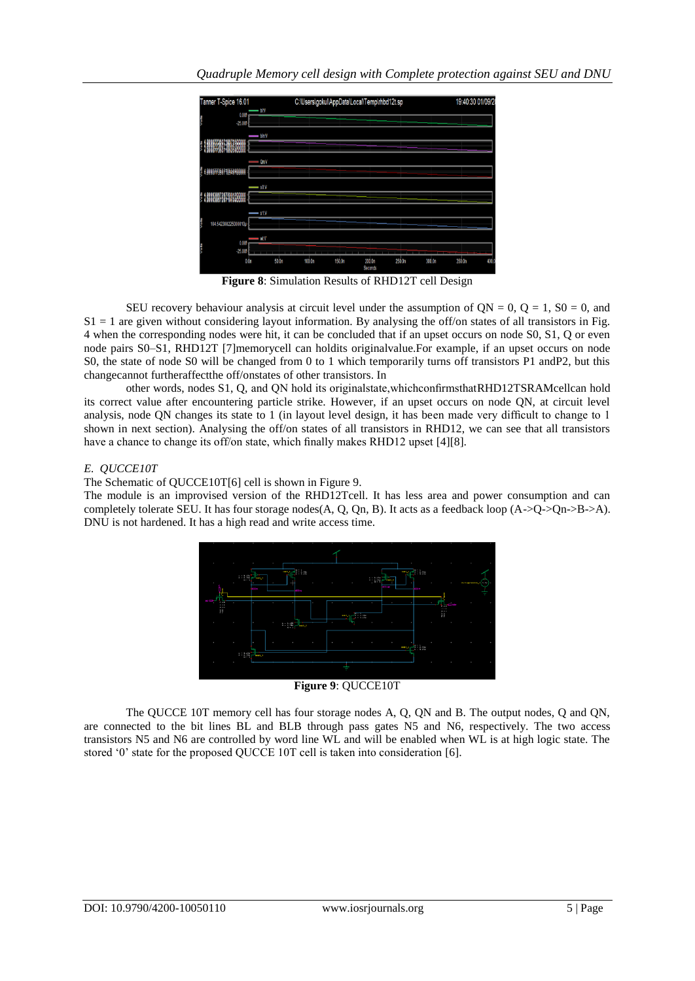

**Figure 8**: Simulation Results of RHD12T cell Design

SEU recovery behaviour analysis at circuit level under the assumption of  $ON = 0$ ,  $O = 1$ ,  $SO = 0$ , and  $S1 = 1$  are given without considering layout information. By analysing the off/on states of all transistors in Fig. 4 when the corresponding nodes were hit, it can be concluded that if an upset occurs on node S0, S1, Q or even node pairs S0–S1, RHD12T [7]memorycell can holdits originalvalue.For example, if an upset occurs on node S0, the state of node S0 will be changed from 0 to 1 which temporarily turns off transistors P1 andP2, but this changecannot furtheraffectthe off/onstates of other transistors. In

other words, nodes S1, Q, and QN hold its originalstate,whichconfirmsthatRHD12TSRAMcellcan hold its correct value after encountering particle strike. However, if an upset occurs on node QN, at circuit level analysis, node QN changes its state to 1 (in layout level design, it has been made very difficult to change to 1 shown in next section). Analysing the off/on states of all transistors in RHD12, we can see that all transistors have a chance to change its off/on state, which finally makes RHD12 upset [4][8].

## *E. QUCCE10T*

The Schematic of QUCCE10T[6] cell is shown in Figure 9.

The module is an improvised version of the RHD12Tcell. It has less area and power consumption and can completely tolerate SEU. It has four storage nodes(A, Q, Qn, B). It acts as a feedback loop  $(A>Q>Qn>B>A)$ . DNU is not hardened. It has a high read and write access time.



**Figure 9**: QUCCE10T

The QUCCE 10T memory cell has four storage nodes A, Q, QN and B. The output nodes, Q and QN, are connected to the bit lines BL and BLB through pass gates N5 and N6, respectively. The two access transistors N5 and N6 are controlled by word line WL and will be enabled when WL is at high logic state. The stored '0' state for the proposed QUCCE 10T cell is taken into consideration [6].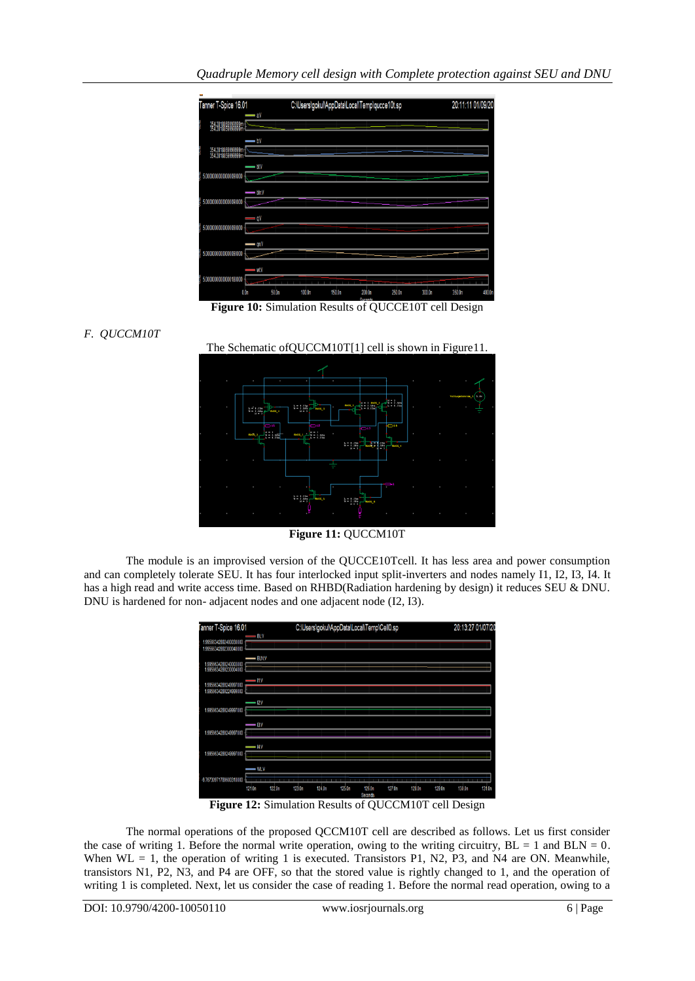

**Figure 10:** Simulation Results of QUCCE10T cell Design







**Figure 11:** QUCCM10T

The module is an improvised version of the QUCCE10Tcell. It has less area and power consumption and can completely tolerate SEU. It has four interlocked input split-inverters and nodes namely I1, I2, I3, I4. It has a high read and write access time. Based on RHBD(Radiation hardening by design) it reduces SEU & DNU. DNU is hardened for non- adjacent nodes and one adjacent node (I2, I3).

| Tanner T-Spice 16.01                           |                        |                    |        |        |        | C:\Users\gokul\AppData\Local\Temp\Cell0.sp |        |                 |                | 20:13:27 01/07/20 |        |
|------------------------------------------------|------------------------|--------------------|--------|--------|--------|--------------------------------------------|--------|-----------------|----------------|-------------------|--------|
| 99566342892400030000<br>1.99566342892300040000 | — ELV                  |                    |        |        |        |                                            |        |                 |                |                   |        |
| 1.9956634289240003000<br>1.9956634289230004000 | $-$ BLN:V              |                    |        |        |        |                                            |        |                 |                |                   |        |
| 1.9956634289249997000                          | $=$ 11.V               |                    |        |        |        |                                            |        |                 |                |                   |        |
| 1.9956634289224999000                          | $-$ 12V                |                    |        |        |        |                                            |        |                 |                |                   |        |
| 1.9956634289249997000                          |                        |                    |        |        |        |                                            |        |                 |                |                   |        |
| 1.9956634289249997000                          | $\frac{1}{2}$          |                    |        |        |        |                                            |        |                 |                |                   |        |
| 1.9956634289249997000                          | $\longrightarrow$ 14:V |                    |        |        |        |                                            |        |                 |                |                   |        |
|                                                | $-$ WLV                |                    |        |        |        |                                            |        |                 |                |                   |        |
| -9.76730971789600310000                        | ----<br>121.0n         | 122.0 <sub>n</sub> | 123.0n | 124.0n | 125.0n | 126.0n<br>Seconds                          | 127.0n | -----<br>128 On | ____<br>129.0n | 130.0n            | 131.0n |

**Figure 12:** Simulation Results of QUCCM10T cell Design

The normal operations of the proposed QCCM10T cell are described as follows. Let us first consider the case of writing 1. Before the normal write operation, owing to the writing circuitry,  $BL = 1$  and  $BLN = 0$ . When WL = 1, the operation of writing 1 is executed. Transistors P1, N2, P3, and N4 are ON. Meanwhile, transistors N1, P2, N3, and P4 are OFF, so that the stored value is rightly changed to 1, and the operation of writing 1 is completed. Next, let us consider the case of reading 1. Before the normal read operation, owing to a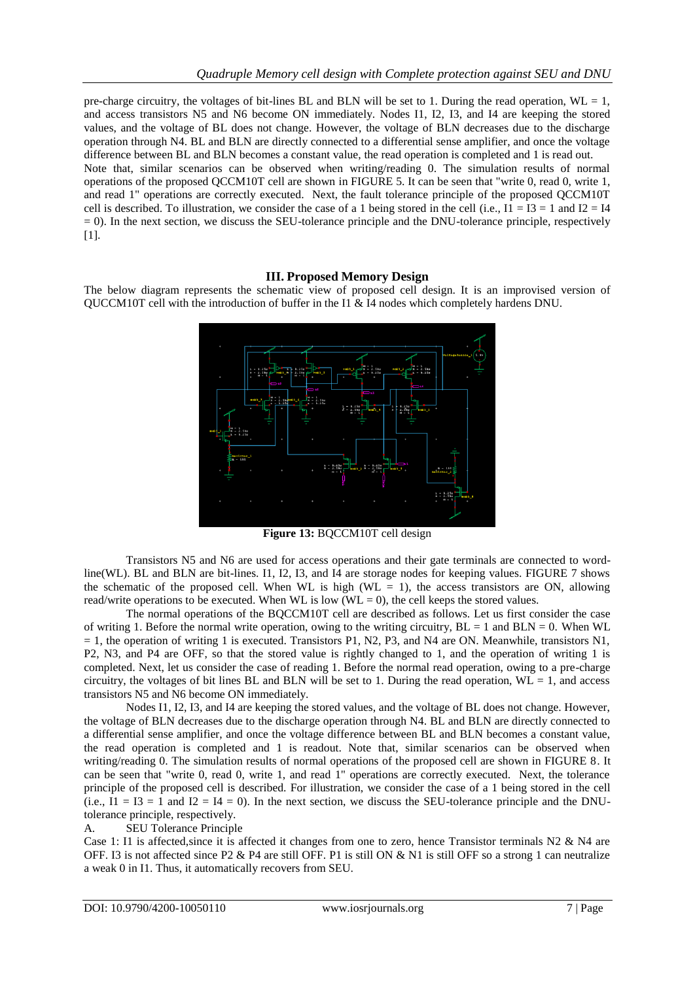pre-charge circuitry, the voltages of bit-lines BL and BLN will be set to 1. During the read operation,  $WL = 1$ , and access transistors N5 and N6 become ON immediately. Nodes I1, I2, I3, and I4 are keeping the stored values, and the voltage of BL does not change. However, the voltage of BLN decreases due to the discharge operation through N4. BL and BLN are directly connected to a differential sense amplifier, and once the voltage difference between BL and BLN becomes a constant value, the read operation is completed and 1 is read out. Note that, similar scenarios can be observed when writing/reading 0. The simulation results of normal operations of the proposed QCCM10T cell are shown in FIGURE 5. It can be seen that "write 0, read 0, write 1, and read 1" operations are correctly executed. Next, the fault tolerance principle of the proposed QCCM10T cell is described. To illustration, we consider the case of a 1 being stored in the cell (i.e.,  $I1 = I3 = 1$  and  $I2 = I4$ = 0). In the next section, we discuss the SEU-tolerance principle and the DNU-tolerance principle, respectively [1].

#### **III. Proposed Memory Design**

The below diagram represents the schematic view of proposed cell design. It is an improvised version of QUCCM10T cell with the introduction of buffer in the I1 & I4 nodes which completely hardens DNU.



**Figure 13:** BQCCM10T cell design

Transistors N5 and N6 are used for access operations and their gate terminals are connected to wordline(WL). BL and BLN are bit-lines. I1, I2, I3, and I4 are storage nodes for keeping values. FIGURE 7 shows the schematic of the proposed cell. When WL is high (WL  $= 1$ ), the access transistors are ON, allowing read/write operations to be executed. When WL is low (WL = 0), the cell keeps the stored values.

The normal operations of the BQCCM10T cell are described as follows. Let us first consider the case of writing 1. Before the normal write operation, owing to the writing circuitry,  $BL = 1$  and  $BLN = 0$ . When WL  $= 1$ , the operation of writing 1 is executed. Transistors P1, N2, P3, and N4 are ON. Meanwhile, transistors N1, P2, N3, and P4 are OFF, so that the stored value is rightly changed to 1, and the operation of writing 1 is completed. Next, let us consider the case of reading 1. Before the normal read operation, owing to a pre-charge circuitry, the voltages of bit lines BL and BLN will be set to 1. During the read operation,  $WL = 1$ , and access transistors N5 and N6 become ON immediately.

Nodes I1, I2, I3, and I4 are keeping the stored values, and the voltage of BL does not change. However, the voltage of BLN decreases due to the discharge operation through N4. BL and BLN are directly connected to a differential sense amplifier, and once the voltage difference between BL and BLN becomes a constant value, the read operation is completed and 1 is readout. Note that, similar scenarios can be observed when writing/reading 0. The simulation results of normal operations of the proposed cell are shown in FIGURE 8. It can be seen that "write 0, read 0, write 1, and read 1" operations are correctly executed. Next, the tolerance principle of the proposed cell is described. For illustration, we consider the case of a 1 being stored in the cell (i.e.,  $I1 = I3 = 1$  and  $I2 = I4 = 0$ ). In the next section, we discuss the SEU-tolerance principle and the DNUtolerance principle, respectively.

#### A. SEU Tolerance Principle

Case 1: I1 is affected,since it is affected it changes from one to zero, hence Transistor terminals N2 & N4 are OFF. I3 is not affected since P2 & P4 are still OFF. P1 is still ON & N1 is still OFF so a strong 1 can neutralize a weak 0 in I1. Thus, it automatically recovers from SEU.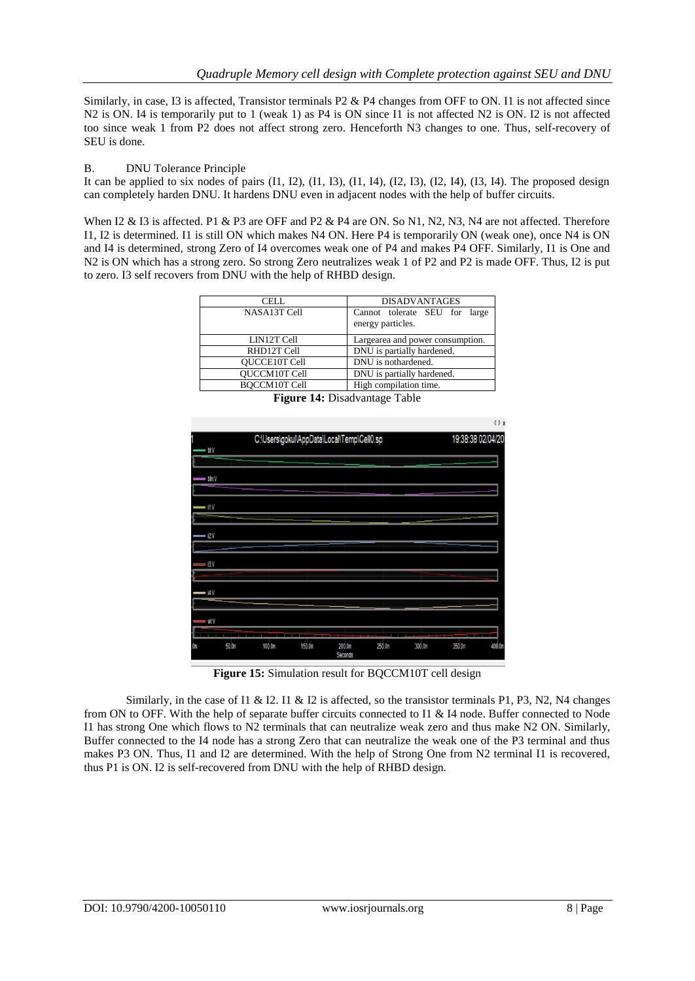Similarly, in case, I3 is affected, Transistor terminals P2 & P4 changes from OFF to ON. I1 is not affected since N2 is ON. I4 is temporarily put to 1 (weak 1) as P4 is ON since I1 is not affected N2 is ON. I2 is not affected too since weak 1 from P2 does not affect strong zero. Henceforth N3 changes to one. Thus, self-recovery of SEU is done.

#### B. DNU Tolerance Principle

It can be applied to six nodes of pairs  $(11, 12)$ ,  $(11, 13)$ ,  $(11, 14)$ ,  $(12, 13)$ ,  $(12, 14)$ ,  $(13, 14)$ . The proposed design can completely harden DNU. It hardens DNU even in adjacent nodes with the help of buffer circuits.

When I2 & I3 is affected. P1 & P3 are OFF and P2 & P4 are ON. So N1, N2, N3, N4 are not affected. Therefore I1, I2 is determined. I1 is still ON which makes N4 ON. Here P4 is temporarily ON (weak one), once N4 is ON and I4 is determined, strong Zero of I4 overcomes weak one of P4 and makes P4 OFF. Similarly, I1 is One and N2 is ON which has a strong zero. So strong Zero neutralizes weak 1 of P2 and P2 is made OFF. Thus, I2 is put to zero. I3 self recovers from DNU with the help of RHBD design.

| <b>CELL</b>          | <b>DISADVANTAGES</b>                               |
|----------------------|----------------------------------------------------|
| NASA13T Cell         | Cannot tolerate SEU for large<br>energy particles. |
| LIN12T Cell          | Largearea and power consumption.                   |
| RHD12T Cell          | DNU is partially hardened.                         |
| <b>OUCCE10T Cell</b> | DNU is nothardened.                                |
| <b>OUCCM10T Cell</b> | DNU is partially hardened.                         |
| <b>BOCCM10T Cell</b> | High compilation time.                             |
| - -                  |                                                    |



**Figure 14:** Disadvantage Table

**Figure 15:** Simulation result for BQCCM10T cell design

Similarly, in the case of I1 & I2. I1 & I2 is affected, so the transistor terminals P1, P3, N2, N4 changes from ON to OFF. With the help of separate buffer circuits connected to I1 & I4 node. Buffer connected to Node I1 has strong One which flows to N2 terminals that can neutralize weak zero and thus make N2 ON. Similarly, Buffer connected to the I4 node has a strong Zero that can neutralize the weak one of the P3 terminal and thus makes P3 ON. Thus, I1 and I2 are determined. With the help of Strong One from N2 terminal I1 is recovered, thus P1 is ON. I2 is self-recovered from DNU with the help of RHBD design.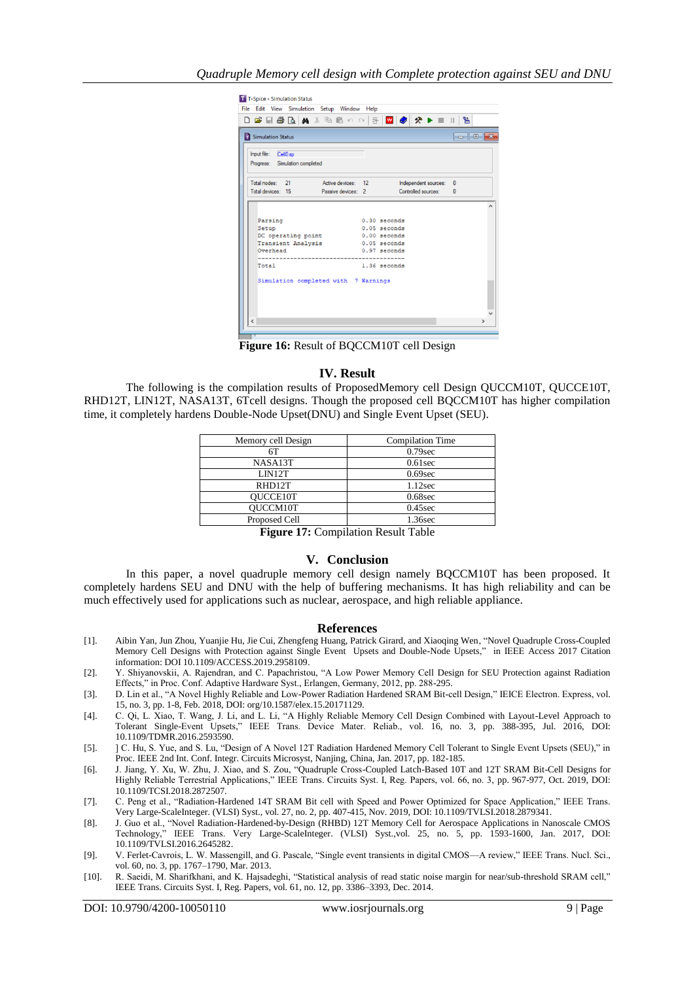| Simulation Status               |  |                                                          |  |                |  |              | -- - - |
|---------------------------------|--|----------------------------------------------------------|--|----------------|--|--------------|--------|
| Input file: Cell0.sp            |  |                                                          |  |                |  |              |        |
| Progress: Simulation completed  |  |                                                          |  |                |  |              |        |
|                                 |  |                                                          |  |                |  |              |        |
|                                 |  | Total nodes: 21 Active devices: 12 Independent sources:  |  |                |  | $\mathbf{0}$ |        |
|                                 |  | Total devices: 15 Passive devices: 2 Controlled sources: |  |                |  | $\mathbf{0}$ |        |
|                                 |  |                                                          |  |                |  |              |        |
| Parsing                         |  |                                                          |  | $0.30$ seconds |  |              |        |
| Setup                           |  |                                                          |  | $0.05$ seconds |  |              |        |
|                                 |  | DC operating point 0.00 seconds                          |  |                |  |              |        |
| Transient Analysis 0.05 seconds |  |                                                          |  |                |  |              |        |
| Overhead                        |  |                                                          |  | 0.97 seconds   |  |              |        |
| Total                           |  |                                                          |  | $1.36$ seconds |  |              |        |
|                                 |  | Simulation completed with 7 Warnings                     |  |                |  |              |        |
|                                 |  |                                                          |  |                |  |              |        |

**Figure 16:** Result of BQCCM10T cell Design

#### **IV. Result**

The following is the compilation results of ProposedMemory cell Design QUCCM10T, QUCCE10T, RHD12T, LIN12T, NASA13T, 6Tcell designs. Though the proposed cell BQCCM10T has higher compilation time, it completely hardens Double-Node Upset(DNU) and Single Event Upset (SEU).

| Memory cell Design                                                                                            | <b>Compilation Time</b> |  |  |  |  |
|---------------------------------------------------------------------------------------------------------------|-------------------------|--|--|--|--|
| 6Т                                                                                                            | $0.79$ sec              |  |  |  |  |
| NASA13T                                                                                                       | $0.61$ sec              |  |  |  |  |
| LIN12T                                                                                                        | $0.69$ sec              |  |  |  |  |
| RHD12T                                                                                                        | $1.12$ sec              |  |  |  |  |
| <b>OUCCE10T</b>                                                                                               | $0.68$ sec              |  |  |  |  |
| <b>OUCCM10T</b>                                                                                               | $0.45$ sec              |  |  |  |  |
| Proposed Cell                                                                                                 | 1.36sec                 |  |  |  |  |
| 1955 – 1956 – 1956 – 1956 – 1956 – 1956 – 1956 – 1956 – 1956 – 1956 – 1956 – 1956 – 1956 – 1956 – 1956 – 1956 |                         |  |  |  |  |

**Figure 17:** Compilation Result Table

#### **V. Conclusion**

In this paper, a novel quadruple memory cell design namely BQCCM10T has been proposed. It completely hardens SEU and DNU with the help of buffering mechanisms. It has high reliability and can be much effectively used for applications such as nuclear, aerospace, and high reliable appliance.

#### **References**

- [1]. Aibin Yan, Jun Zhou, Yuanjie Hu, Jie Cui, Zhengfeng Huang, Patrick Girard, and Xiaoqing Wen, "Novel Quadruple Cross-Coupled Memory Cell Designs with Protection against Single Event Upsets and Double-Node Upsets," in IEEE Access 2017 Citation information: DOI 10.1109/ACCESS.2019.2958109.
- [2]. Y. Shiyanovskii, A. Rajendran, and C. Papachristou, "A Low Power Memory Cell Design for SEU Protection against Radiation Effects," in Proc. Conf. Adaptive Hardware Syst., Erlangen, Germany, 2012, pp. 288-295.
- [3]. D. Lin et al., "A Novel Highly Reliable and Low-Power Radiation Hardened SRAM Bit-cell Design," IEICE Electron. Express, vol. 15, no. 3, pp. 1-8, Feb. 2018, DOI: org/10.1587/elex.15.20171129.
- [4]. C. Qi, L. Xiao, T. Wang, J. Li, and L. Li, "A Highly Reliable Memory Cell Design Combined with Layout-Level Approach to Tolerant Single-Event Upsets," IEEE Trans. Device Mater. Reliab., vol. 16, no. 3, pp. 388-395, Jul. 2016, DOI: 10.1109/TDMR.2016.2593590.
- [5]. [C. Hu, S. Yue, and S. Lu, "Design of A Novel 12T Radiation Hardened Memory Cell Tolerant to Single Event Upsets (SEU)," in Proc. IEEE 2nd Int. Conf. Integr. Circuits Microsyst, Nanjing, China, Jan. 2017, pp. 182-185.
- [6]. J. Jiang, Y. Xu, W. Zhu, J. Xiao, and S. Zou, "Quadruple Cross-Coupled Latch-Based 10T and 12T SRAM Bit-Cell Designs for Highly Reliable Terrestrial Applications," IEEE Trans. Circuits Syst. I, Reg. Papers, vol. 66, no. 3, pp. 967-977, Oct. 2019, DOI: 10.1109/TCSI.2018.2872507.
- [7]. C. Peng et al., "Radiation-Hardened 14T SRAM Bit cell with Speed and Power Optimized for Space Application," IEEE Trans. Very Large-ScaleInteger. (VLSI) Syst., vol. 27, no. 2, pp. 407-415, Nov. 2019, DOI: 10.1109/TVLSI.2018.2879341.
- [8]. J. Guo et al., "Novel Radiation-Hardened-by-Design (RHBD) 12T Memory Cell for Aerospace Applications in Nanoscale CMOS Technology,‖ IEEE Trans. Very Large-ScaleInteger. (VLSI) Syst.,vol. 25, no. 5, pp. 1593-1600, Jan. 2017, DOI: 10.1109/TVLSI.2016.2645282.
- [9]. V. Ferlet-Cavrois, L. W. Massengill, and G. Pascale, "Single event transients in digital CMOS—A review," IEEE Trans. Nucl. Sci., vol. 60, no. 3, pp. 1767–1790, Mar. 2013.
- [10]. R. Saeidi, M. Sharifkhani, and K. Hajsadeghi, "Statistical analysis of read static noise margin for near/sub-threshold SRAM cell," IEEE Trans. Circuits Syst. I, Reg. Papers, vol. 61, no. 12, pp. 3386–3393, Dec. 2014.